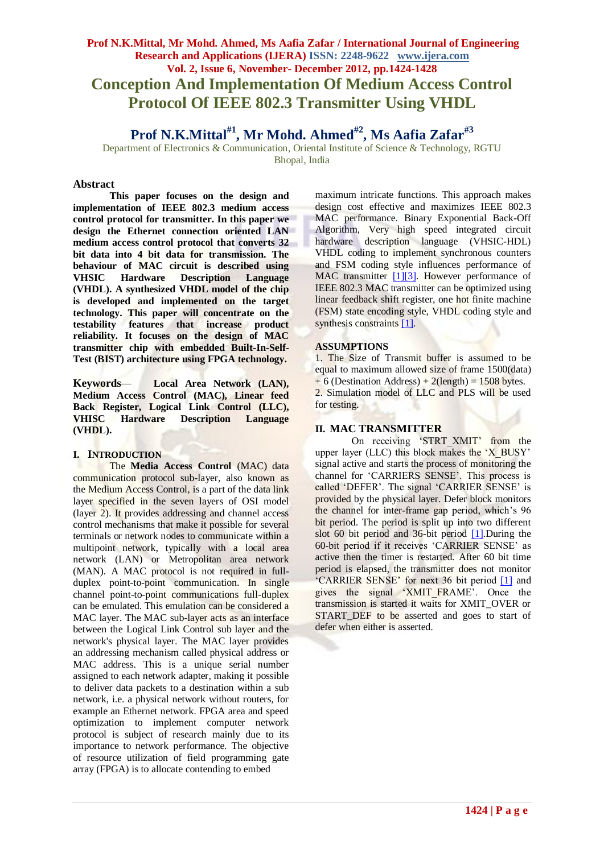# **Prof N.K.Mittal, Mr Mohd. Ahmed, Ms Aafia Zafar / International Journal of Engineering Research and Applications (IJERA) ISSN: 2248-9622 www.ijera.com Vol. 2, Issue 6, November- December 2012, pp.1424-1428 Conception And Implementation Of Medium Access Control Protocol Of IEEE 802.3 Transmitter Using VHDL**

**Prof N.K.Mittal#1, Mr Mohd. Ahmed#2, Ms Aafia Zafar#3**

Department of Electronics & Communication, Oriental Institute of Science & Technology, RGTU Bhopal, India

#### **Abstract**

**This paper focuses on the design and implementation of IEEE 802.3 medium access control protocol for transmitter. In this paper we design the Ethernet connection oriented LAN medium access control protocol that converts 32 bit data into 4 bit data for transmission. The behaviour of MAC circuit is described using VHSIC Hardware Description Language (VHDL). A synthesized VHDL model of the chip is developed and implemented on the target technology. This paper will concentrate on the testability features that increase product reliability. It focuses on the design of MAC transmitter chip with embedded Built-In-Self-Test (BIST) architecture using FPGA technology.**

**Keywords***—* **Local Area Network (LAN), Medium Access Control (MAC), Linear feed Back Register, Logical Link Control (LLC), VHISC Hardware Description Language (VHDL).**

#### **I. INTRODUCTION**

The **Media Access Control** (MAC) data communication protocol sub-layer, also known as the Medium Access Control, is a part of the data link layer specified in the seven layers of OSI model (layer 2). It provides addressing and channel access control mechanisms that make it possible for several terminals or network nodes to communicate within a multipoint network, typically with a local area network (LAN) or Metropolitan area network (MAN). A MAC protocol is not required in fullduplex point-to-point communication. In single channel point-to-point communications full-duplex can be emulated. This emulation can be considered a MAC layer. The MAC sub-layer acts as an interface between the Logical Link Control sub layer and the network's physical layer. The MAC layer provides an addressing mechanism called physical address or MAC address. This is a unique serial number assigned to each network adapter, making it possible to deliver data packets to a destination within a sub network, i.e. a physical network without routers, for example an Ethernet network. FPGA area and speed optimization to implement computer network protocol is subject of research mainly due to its importance to network performance. The objective of resource utilization of field programming gate array (FPGA) is to allocate contending to embed

maximum intricate functions. This approach makes design cost effective and maximizes IEEE 802.3 MAC performance. Binary Exponential Back-Off Algorithm, Very high speed integrated circuit hardware description language (VHSIC-HDL) VHDL coding to implement synchronous counters and FSM coding style influences performance of MAC transmitter [\[1\]\[3\].](#page-4-0) However performance of IEEE 802.3 MAC transmitter can be optimized using linear feedback shift register, one hot finite machine (FSM) state encoding style, VHDL coding style and synthesis constraints [\[1\].](#page-4-0)

## **ASSUMPTIONS**

1. The Size of Transmit buffer is assumed to be equal to maximum allowed size of frame 1500(data)  $+ 6$  (Destination Address)  $+ 2$ (length) = 1508 bytes. 2. Simulation model of LLC and PLS will be used for testing.

# **II. MAC TRANSMITTER**

On receiving 'STRT XMIT' from the upper layer (LLC) this block makes the 'X BUSY' signal active and starts the process of monitoring the channel for "CARRIERS SENSE". This process is called 'DEFER'. The signal 'CARRIER SENSE' is provided by the physical layer. Defer block monitors the channel for inter-frame gap period, which"s 96 bit period. The period is split up into two different slot 60 bit period and 36-bit period [\[1\].](#page-4-0)During the 60-bit period if it receives "CARRIER SENSE" as active then the timer is restarted. After 60 bit time period is elapsed, the transmitter does not monitor 'CARRIER SENSE' for next 36 bit period [\[1\]](#page-4-0) and gives the signal "XMIT\_FRAME". Once the transmission is started it waits for XMIT\_OVER or START DEF to be asserted and goes to start of defer when either is asserted.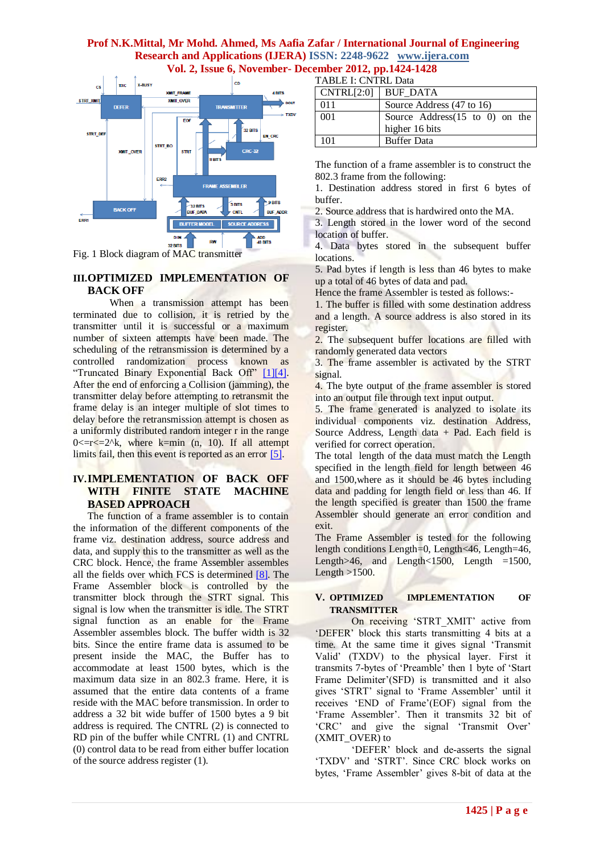TABLE LOVEDLD



Fig. 1 Block diagram of MAC transmitter

# **III.OPTIMIZED IMPLEMENTATION OF BACK OFF**

When a transmission attempt has been terminated due to collision, it is retried by the transmitter until it is successful or a maximum number of sixteen attempts have been made. The scheduling of the retransmission is determined by a controlled randomization process known as "Truncated Binary Exponential Back Off" [\[1\]\[4\].](#page-4-0) After the end of enforcing a Collision (jamming), the transmitter delay before attempting to retransmit the frame delay is an integer multiple of slot times to delay before the retransmission attempt is chosen as a uniformly distributed random integer r in the range  $0 \leq r \leq 2^k$ , where k=min (n, 10). If all attempt limits fail, then this event is reported as an error [\[5\].](#page-4-1)

# **IV.IMPLEMENTATION OF BACK OFF WITH FINITE STATE MACHINE BASED APPROACH**

The function of a frame assembler is to contain the information of the different components of the frame viz. destination address, source address and data, and supply this to the transmitter as well as the CRC block. Hence, the frame Assembler assembles all the fields over which FCS is determined [\[8\].](#page-4-2) The Frame Assembler block is controlled by the transmitter block through the STRT signal. This signal is low when the transmitter is idle. The STRT signal function as an enable for the Frame Assembler assembles block. The buffer width is 32 bits. Since the entire frame data is assumed to be present inside the MAC, the Buffer has to accommodate at least 1500 bytes, which is the maximum data size in an 802.3 frame. Here, it is assumed that the entire data contents of a frame reside with the MAC before transmission. In order to address a 32 bit wide buffer of 1500 bytes a 9 bit address is required. The CNTRL (2) is connected to RD pin of the buffer while CNTRL (1) and CNTRL (0) control data to be read from either buffer location of the source address register (1).

| TADLE I. UN I NL D'AIA |                                            |  |  |  |
|------------------------|--------------------------------------------|--|--|--|
| CNTRL[2:0]             | <b>BUF DATA</b>                            |  |  |  |
| 011                    | Source Address (47 to 16)                  |  |  |  |
| 001                    | Source Address $(15 \text{ to } 0)$ on the |  |  |  |
|                        | higher 16 bits                             |  |  |  |
| 101                    | <b>Buffer Data</b>                         |  |  |  |

The function of a frame assembler is to construct the 802.3 frame from the following:

1. Destination address stored in first 6 bytes of buffer.

2. Source address that is hardwired onto the MA.

3. Length stored in the lower word of the second location of buffer.

4. Data bytes stored in the subsequent buffer **locations** 

5. Pad bytes if length is less than 46 bytes to make up a total of 46 bytes of data and pad.

Hence the frame Assembler is tested as follows:-

1. The buffer is filled with some destination address and a length. A source address is also stored in its register.

2. The subsequent buffer locations are filled with randomly generated data vectors

3. The frame assembler is activated by the STRT signal.

4. The byte output of the frame assembler is stored into an output file through text input output.

5. The frame generated is analyzed to isolate its individual components viz. destination Address, Source Address, Length data  $+$  Pad. Each field is verified for correct operation.

The total length of the data must match the Length specified in the length field for length between 46 and 1500,where as it should be 46 bytes including data and padding for length field or less than 46. If the length specified is greater than 1500 the frame Assembler should generate an error condition and exit.

The Frame Assembler is tested for the following length conditions Length=0, Length<46, Length=46, Length $>46$ , and Length $< 1500$ , Length  $=1500$ , Length  $>1500$ .

## **V. OPTIMIZED IMPLEMENTATION OF TRANSMITTER**

On receiving 'STRT XMIT' active from 'DEFER' block this starts transmitting 4 bits at a time. At the same time it gives signal "Transmit Valid" (TXDV) to the physical layer. First it transmits 7-bytes of "Preamble" then 1 byte of "Start Frame Delimiter'(SFD) is transmitted and it also gives "STRT" signal to "Frame Assembler" until it receives 'END of Frame'(EOF) signal from the "Frame Assembler". Then it transmits 32 bit of "CRC" and give the signal "Transmit Over" (XMIT\_OVER) to

"DEFER" block and de-asserts the signal "TXDV" and "STRT". Since CRC block works on bytes, 'Frame Assembler' gives 8-bit of data at the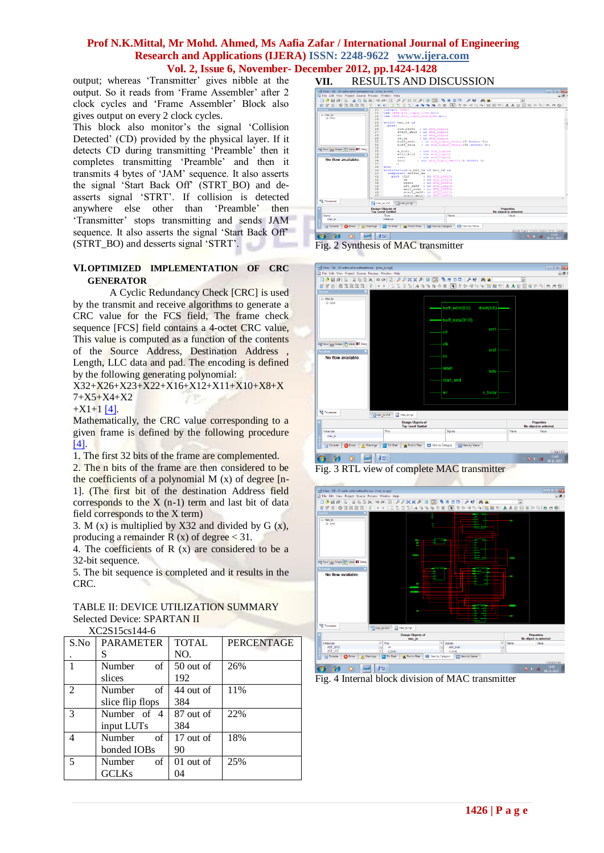output; whereas 'Transmitter' gives nibble at the output. So it reads from 'Frame Assembler' after 2 clock cycles and "Frame Assembler" Block also gives output on every 2 clock cycles.

This block also monitor's the signal 'Collision Detected" (CD) provided by the physical layer. If it detects CD during transmitting "Preamble" then it completes transmitting "Preamble" and then it transmits 4 bytes of "JAM" sequence. It also asserts the signal "Start Back Off" (STRT\_BO) and deasserts signal "STRT". If collision is detected anywhere else other than "Preamble" then "Transmitter" stops transmitting and sends JAM sequence. It also asserts the signal "Start Back Off" (STRT\_BO) and desserts signal "STRT".

#### **VI.OPTIMIZED IMPLEMENTATION OF CRC GENERATOR**

A Cyclic Redundancy Check [CRC] is used by the transmit and receive algorithms to generate a CRC value for the FCS field, The frame check sequence [FCS] field contains a 4-octet CRC value, This value is computed as a function of the contents of the Source Address, Destination Address Length, LLC data and pad. The encoding is defined by the following generating polynomial:

X32+X26+X23+X22+X16+X12+X11+X10+X8+X 7+X5+X4+X2

 $+X1+1$  [\[4\].](#page-4-3)

Mathematically, the CRC value corresponding to a given frame is defined by the following procedure [\[4\].](#page-4-3)

1. The first 32 bits of the frame are complemented.

2. The n bits of the frame are then considered to be the coefficients of a polynomial  $M(x)$  of degree  $[n-$ 1]. (The first bit of the destination Address field corresponds to the  $X$  (n-1) term and last bit of data field corresponds to the X term)

3. M (x) is multiplied by X32 and divided by  $G(x)$ , producing a remainder R  $(x)$  of degree  $\lt 31$ .

4. The coefficients of  $R(x)$  are considered to be a 32-bit sequence.

5. The bit sequence is completed and it results in the CRC.

TABLE II: DEVICE UTILIZATION SUMMARY Selected Device: SPARTAN II XC2S15cs144-6

| S.No           | <b>PARAMETER</b> | <b>TOTAL</b> | <b>PERCENTAGE</b> |  |  |
|----------------|------------------|--------------|-------------------|--|--|
|                | S                | NO.          |                   |  |  |
| 1              | of<br>Number     | $50$ out of  | 26%               |  |  |
|                | slices           | 192          |                   |  |  |
| $\mathfrak{D}$ | of<br>Number     | 44 out of    | 11%               |  |  |
|                | slice flip flops | 384          |                   |  |  |
| 3              | Number of 4      | 87 out of    | 22%               |  |  |
|                | input LUTs       | 384          |                   |  |  |
| 4              | Number<br>of     | 17 out of    | 18%               |  |  |
|                | bonded IOBs      | 90           |                   |  |  |
| 5              | of<br>Number     | $01$ out of  | 25%               |  |  |
|                | <b>GCLKs</b>     | 04           |                   |  |  |
|                |                  |              |                   |  |  |

**VII.** RESULTS AND DISCUSSION











Fig. 4 Internal block division of MAC transmitter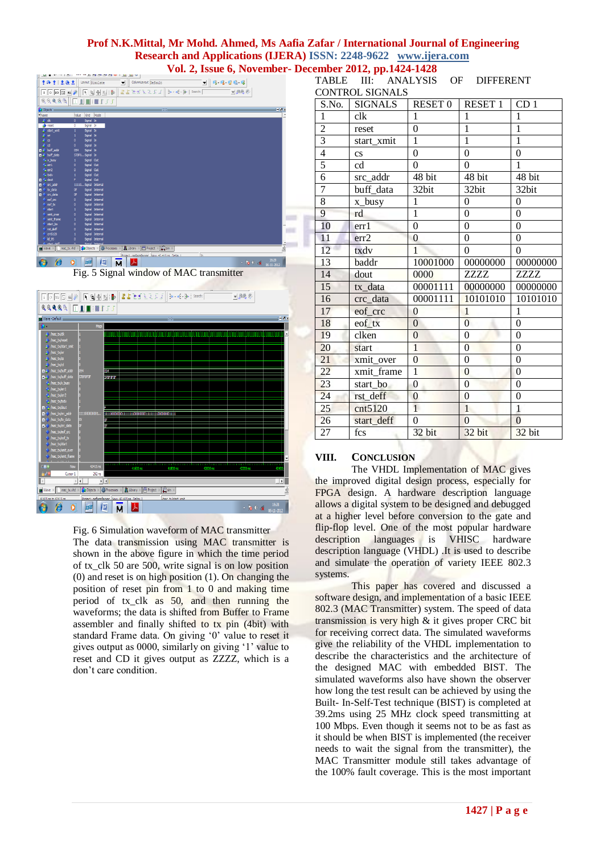| <u>u</u>                                                             | -----------------                                               |                                                                             |               |                        |
|----------------------------------------------------------------------|-----------------------------------------------------------------|-----------------------------------------------------------------------------|---------------|------------------------|
| 李命李[孟德孟                                                              | Layout Simulate                                                 | ColumnLayout Default<br>▼                                                   | 19999         |                        |
| $\overline{1}$ 0 $\overline{10}$ 0 $\overline{11}$ 4 $\overline{11}$ | 天气帝王郎                                                           | $\frac{1}{2}$ k - sk - sk - Search:<br> 15777777                            | ▼鼻鼻炎          |                        |
| 图 原発免疫 (1)                                                           | 38<br>重工工                                                       |                                                                             |               |                        |
| Objects :                                                            |                                                                 |                                                                             |               | $=8x$                  |
| <b>Whame</b>                                                         | Kind<br>Mode<br>Value                                           |                                                                             |               |                        |
| $\neq$ dk                                                            | Signal In<br>$\mathbf{0}$                                       |                                                                             |               |                        |
| <b>A</b> reset                                                       | Signal In<br>٥                                                  |                                                                             |               |                        |
| $\pm$ start xmt                                                      | Signal In<br>1                                                  |                                                                             |               |                        |
| ≰ w                                                                  | Signal In<br>1                                                  |                                                                             |               |                        |
| źα                                                                   | Signal In<br>$\mathbf{0}$                                       |                                                                             |               |                        |
| d                                                                    | Signal In<br>$\bullet$                                          |                                                                             |               |                        |
| <b>D</b> 4 buff addr                                                 | Signal In<br>054                                                |                                                                             |               |                        |
| <b>D</b> 4 buff data                                                 | 570F0Signal In                                                  |                                                                             |               |                        |
| A x busy                                                             | Signal Out<br>1                                                 |                                                                             |               |                        |
| $4k$ err1                                                            | Signal Out<br>$\mathbf{0}$                                      |                                                                             |               |                        |
| $44$ err2                                                            | Signal Out<br>$\mathbf{a}$                                      |                                                                             |               |                        |
| A. bdv                                                               | Signal Out<br>Ŧ.                                                |                                                                             |               |                        |
| D <sup>4</sup> dout                                                  | Signal Out<br>F                                                 |                                                                             |               |                        |
| src_addr                                                             | 11110Signal Internal                                            |                                                                             |               |                        |
| b: data                                                              | Signal Internal<br>Œ                                            |                                                                             |               |                        |
| orc_data                                                             | Signal Internal<br>Œ                                            |                                                                             |               |                        |
| eof_crc                                                              | Signal Internal<br>$\bullet$                                    |                                                                             |               |                        |
| eof_tx                                                               | Signal Internal<br>$\mathbf{0}$                                 |                                                                             |               |                        |
| start                                                                | Signal Internal<br>$\mathbf{1}$                                 |                                                                             |               |                        |
| xmit over<br>xmt frame                                               | Signal Internal<br>$\mathbf{0}$                                 |                                                                             |               |                        |
|                                                                      | Signal Internal<br>1                                            |                                                                             |               |                        |
| start_bo<br>rst_deff                                                 | $\mathbf{0}$<br>Signal Internal<br>$\bullet$<br>Signal Internal |                                                                             |               |                        |
| cnt5120                                                              | Signal Internal<br>1                                            |                                                                             |               |                        |
| <b>Id 95</b>                                                         | Signal Internal<br>$\mathbf{0}$                                 |                                                                             |               |                        |
| chack daft                                                           |                                                                 |                                                                             |               |                        |
| <b>Call Wave</b>                                                     | Objects X 29 Processes<br>mac_bc.vhd                            | <b>In Library</b><br>$\times$ $\frac{44}{12}$ Project ><br>$E$ sim $\times$ |               | $\left  \cdot \right $ |
|                                                                      |                                                                 | Project : aaflazafarmac Nous 42,415 os Delta: 1                             | <sub>to</sub> |                        |
| A                                                                    | 樫<br>M                                                          | Å                                                                           | $-180$ ax     | 16:29<br>06-11-2012    |
|                                                                      |                                                                 | Fig. 5 Signal window of MAC transmitter                                     |               |                        |



Fig. 6 Simulation waveform of MAC transmitter The data transmission using MAC transmitter is

shown in the above figure in which the time period of tx\_clk 50 are 500, write signal is on low position (0) and reset is on high position (1). On changing the position of reset pin from 1 to 0 and making time period of tx clk as 50, and then running the waveforms; the data is shifted from Buffer to Frame assembler and finally shifted to tx pin (4bit) with standard Frame data. On giving "0" value to reset it gives output as 0000, similarly on giving "1" value to reset and CD it gives output as ZZZZ, which is a don"t care condition.

| <b>CONTROL SIGNALS</b> |                        |                  |                  |                  |  |  |
|------------------------|------------------------|------------------|------------------|------------------|--|--|
| S.No.                  | <b>SIGNALS</b>         | RESET 0          | RESET 1          | CD <sub>1</sub>  |  |  |
| 1                      | clk                    | 1                | 1                | 1                |  |  |
| $\overline{c}$         | reset                  | $\theta$         | $\mathbf{1}$     | $\mathbf{1}$     |  |  |
| 3                      | start xmit             | 1                | $\mathbf{1}$     | $\mathbf{1}$     |  |  |
| $\overline{4}$         | $\mathbf{c}\mathbf{s}$ | $\theta$         | $\boldsymbol{0}$ | $\theta$         |  |  |
| 5                      | cd                     | $\Omega$         | $\Omega$         | 1                |  |  |
| 6                      | src addr               | 48 bit           | 48 bit           | 48 bit           |  |  |
| 7                      | buff data              | 32bit            | 32bit            | 32bit            |  |  |
| 8                      | x_busy                 | $\mathbf{1}$     | $\boldsymbol{0}$ | $\boldsymbol{0}$ |  |  |
| 9                      | rd                     | $\mathbf{1}$     | $\overline{0}$   | $\overline{0}$   |  |  |
| 10                     | err 1                  | $\overline{0}$   | $\boldsymbol{0}$ | $\boldsymbol{0}$ |  |  |
| 11                     | err2                   | $\theta$         | $\theta$         | $\theta$         |  |  |
| 12                     | txdy                   | 1                | $\theta$         | $\theta$         |  |  |
| $\overline{13}$        | baddr                  | 10001000         | 00000000         | 00000000         |  |  |
| 14                     | dout                   | 0000             | ZZZZ             | ZZZZ             |  |  |
| $\overline{15}$        | tx_data                | 00001111         | 00000000         | 00000000         |  |  |
| 16                     | crc_data               | 00001111         | 10101010         | 10101010         |  |  |
| 17                     | eof crc                | $\theta$         | 1                | 1                |  |  |
| 18                     | eof tx                 | $\overline{0}$   | $\overline{0}$   | $\theta$         |  |  |
| 19                     | clken                  | $\theta$         | $\overline{0}$   | $\theta$         |  |  |
| 20                     | start                  | $\mathbf{1}$     | $\overline{0}$   | $\overline{0}$   |  |  |
| 21                     | xmit over              | $\mathbf{0}$     | $\boldsymbol{0}$ | $\boldsymbol{0}$ |  |  |
| 22                     | xmit frame             | $\mathbf{1}$     | $\mathbf{0}$     | $\boldsymbol{0}$ |  |  |
| 23                     | start bo               | $\boldsymbol{0}$ | $\overline{0}$   | $\theta$         |  |  |
| $\overline{24}$        | rst_deff               | $\mathbf{0}$     | $\overline{0}$   | $\overline{0}$   |  |  |
| $\overline{25}$        | cnt5120                | $\overline{1}$   | $\overline{1}$   | $\overline{1}$   |  |  |
| 26                     | start deff             | $\theta$         | $\theta$         | $\theta$         |  |  |
| 27                     | fcs                    | 32 bit           | 32 bit           | 32 bit           |  |  |

TABLE III: ANALYSIS OF DIFFERENT

# **VIII. CONCLUSION**

The VHDL Implementation of MAC gives the improved digital design process, especially for FPGA design. A hardware description language allows a digital system to be designed and debugged at a higher level before conversion to the gate and flip-flop level. One of the most popular hardware description languages is VHISC hardware description language (VHDL) .It is used to describe and simulate the operation of variety IEEE 802.3 systems.

This paper has covered and discussed a software design, and implementation of a basic IEEE 802.3 (MAC Transmitter) system. The speed of data transmission is very high & it gives proper CRC bit for receiving correct data. The simulated waveforms give the reliability of the VHDL implementation to describe the characteristics and the architecture of the designed MAC with embedded BIST. The simulated waveforms also have shown the observer how long the test result can be achieved by using the Built- In-Self-Test technique (BIST) is completed at 39.2ms using 25 MHz clock speed transmitting at 100 Mbps. Even though it seems not to be as fast as it should be when BIST is implemented (the receiver needs to wait the signal from the transmitter), the MAC Transmitter module still takes advantage of the 100% fault coverage. This is the most important